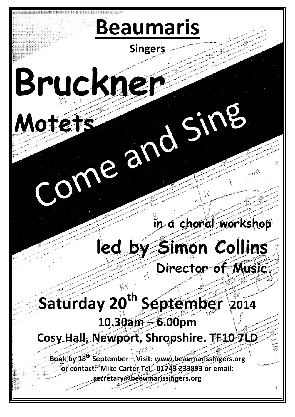